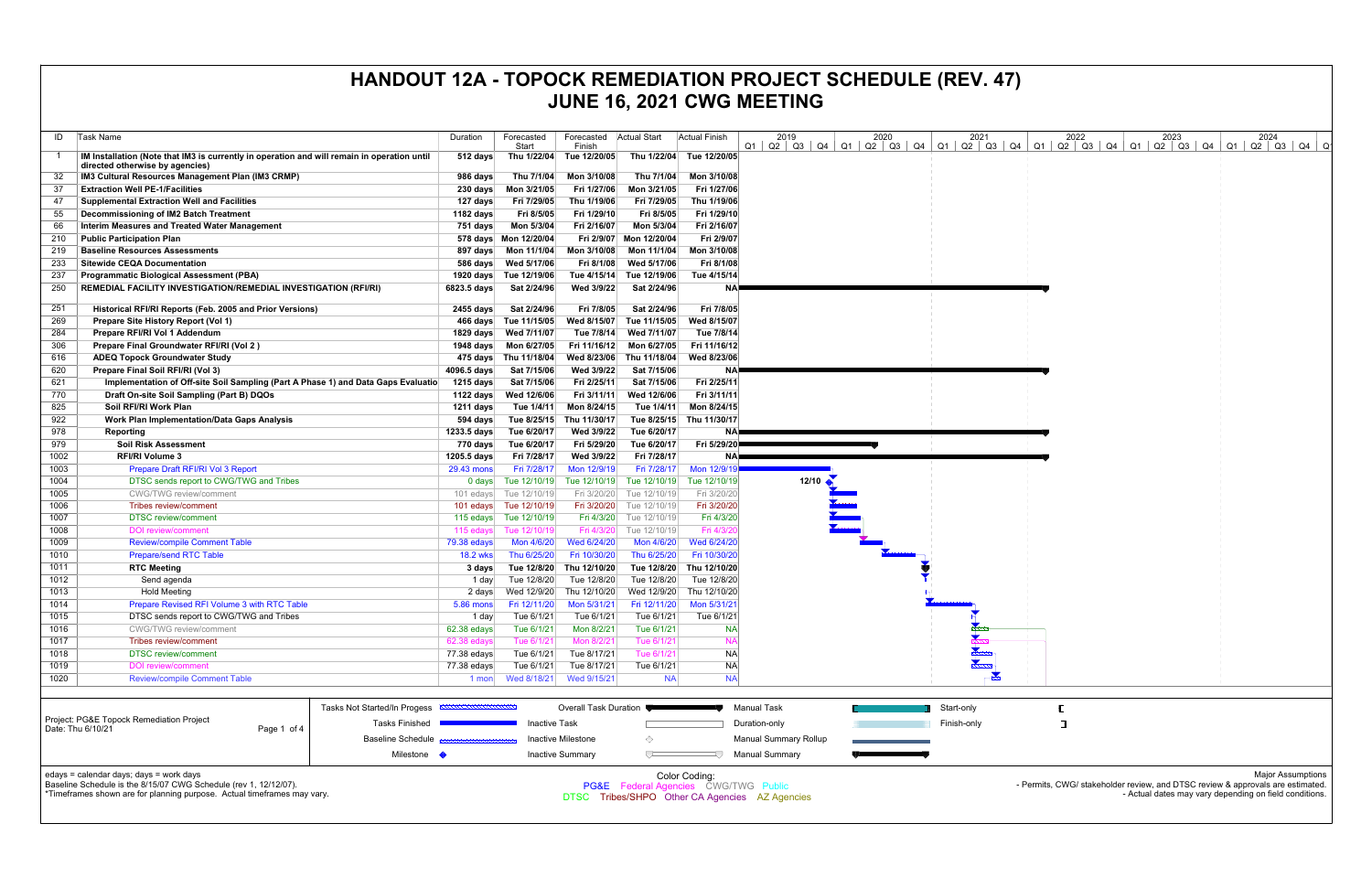| ID         | Task Name                                                                                                                      | Duration                 | Forecasted<br>Start                  | Forecasted<br>Finish        | Actual Start                                    | <b>Actual Finish</b>        | 2019<br>$Q1   Q2   Q3   Q4   Q1   Q2   Q3   Q4   Q1$ | 2020 |             | 2021 | 2022<br>$Q2$   Q3   Q4   Q1   Q2   Q3   Q4   Q1   Q2   Q3   Q4   Q1   Q2   Q3   Q4 |  | 2023                                                   | 2024 | ിറ                       |
|------------|--------------------------------------------------------------------------------------------------------------------------------|--------------------------|--------------------------------------|-----------------------------|-------------------------------------------------|-----------------------------|------------------------------------------------------|------|-------------|------|------------------------------------------------------------------------------------|--|--------------------------------------------------------|------|--------------------------|
|            | IM Installation (Note that IM3 is currently in operation and will remain in operation until<br>directed otherwise by agencies) | $512$ days               | Thu 1/22/04                          | Tue 12/20/05                |                                                 | Thu 1/22/04 Tue 12/20/05    |                                                      |      |             |      |                                                                                    |  |                                                        |      |                          |
| 32         | IM3 Cultural Resources Management Plan (IM3 CRMP)                                                                              | 986 days                 | Thu 7/1/04                           | Mon 3/10/08                 | Thu 7/1/04                                      | Mon 3/10/08                 |                                                      |      |             |      |                                                                                    |  |                                                        |      |                          |
| 37         | <b>Extraction Well PE-1/Facilities</b>                                                                                         | 230 days                 | Mon 3/21/05                          | Fri 1/27/06                 | Mon 3/21/05                                     | Fri 1/27/06                 |                                                      |      |             |      |                                                                                    |  |                                                        |      |                          |
| 47         | <b>Supplemental Extraction Well and Facilities</b>                                                                             | 127 days                 | Fri 7/29/05                          | Thu 1/19/06                 | Fri 7/29/05                                     | Thu 1/19/06                 |                                                      |      |             |      |                                                                                    |  |                                                        |      |                          |
| 55         | Decommissioning of IM2 Batch Treatment                                                                                         | 1182 days                | Fri 8/5/05                           | Fri 1/29/10                 | Fri 8/5/05                                      | Fri 1/29/10                 |                                                      |      |             |      |                                                                                    |  |                                                        |      |                          |
| 66         | <b>Interim Measures and Treated Water Management</b>                                                                           | 751 days                 | Mon 5/3/04                           | Fri 2/16/07                 | Mon 5/3/04                                      | Fri 2/16/07                 |                                                      |      |             |      |                                                                                    |  |                                                        |      |                          |
| 210        | <b>Public Participation Plan</b>                                                                                               |                          | 578 days Mon 12/20/04                |                             | Fri 2/9/07 Mon 12/20/04                         | Fri 2/9/07                  |                                                      |      |             |      |                                                                                    |  |                                                        |      |                          |
| 219        | <b>Baseline Resources Assessments</b>                                                                                          | 897 days                 | Mon 11/1/04                          | Mon 3/10/08                 | Mon 11/1/04                                     | Mon 3/10/08                 |                                                      |      |             |      |                                                                                    |  |                                                        |      |                          |
| 233        | <b>Sitewide CEQA Documentation</b>                                                                                             | 586 days                 | Wed 5/17/06                          | Fri 8/1/08                  | Wed 5/17/06                                     | Fri 8/1/08                  |                                                      |      |             |      |                                                                                    |  |                                                        |      |                          |
| 237        | <b>Programmatic Biological Assessment (PBA)</b>                                                                                |                          | 1920 days Tue 12/19/06               |                             | Tue 4/15/14 Tue 12/19/06                        | Tue 4/15/14                 |                                                      |      |             |      |                                                                                    |  |                                                        |      |                          |
| 250        | REMEDIAL FACILITY INVESTIGATION/REMEDIAL INVESTIGATION (RFI/RI)                                                                | 6823.5 days              | Sat 2/24/96                          | Wed 3/9/22                  | Sat 2/24/96                                     | NA)                         |                                                      |      |             |      |                                                                                    |  |                                                        |      |                          |
|            |                                                                                                                                |                          |                                      |                             |                                                 | Fri 7/8/05                  |                                                      |      |             |      |                                                                                    |  |                                                        |      |                          |
| 251        | Historical RFI/RI Reports (Feb. 2005 and Prior Versions)                                                                       | 2455 days                | Sat 2/24/96                          | Fri 7/8/05                  | Sat 2/24/96                                     |                             |                                                      |      |             |      |                                                                                    |  |                                                        |      |                          |
| 269        | Prepare Site History Report (Vol 1)                                                                                            |                          | 466 days Tue 11/15/05                | Wed 8/15/07                 | Tue 11/15/05                                    | Wed 8/15/07<br>Tue 7/8/14   |                                                      |      |             |      |                                                                                    |  |                                                        |      |                          |
| 284        | Prepare RFI/RI Vol 1 Addendum                                                                                                  |                          | 1829 days Wed 7/11/07                |                             | Tue 7/8/14 Wed 7/11/07                          |                             |                                                      |      |             |      |                                                                                    |  |                                                        |      |                          |
| 306        | Prepare Final Groundwater RFI/RI (Vol 2)                                                                                       |                          | 1948 days    Mon 6/27/05             | Fri 11/16/12<br>Wed 8/23/06 | Mon 6/27/05<br>Thu 11/18/04                     | Fri 11/16/12<br>Wed 8/23/06 |                                                      |      |             |      |                                                                                    |  |                                                        |      |                          |
| 616<br>620 | <b>ADEQ Topock Groundwater Study</b><br>Prepare Final Soil RFI/RI (Vol 3)                                                      | 4096.5 days              | 475 days Thu 11/18/04<br>Sat 7/15/06 | Wed 3/9/22                  | Sat 7/15/06                                     |                             |                                                      |      |             |      |                                                                                    |  |                                                        |      |                          |
|            | Implementation of Off-site Soil Sampling (Part A Phase 1) and Data Gaps Evaluatio                                              | $1215$ days              | Sat 7/15/06                          | Fri 2/25/11                 | Sat 7/15/06                                     | <b>NA</b><br>Fri 2/25/11    |                                                      |      |             |      |                                                                                    |  |                                                        |      |                          |
| 621<br>770 | Draft On-site Soil Sampling (Part B) DQOs                                                                                      | 1122 days                | Wed 12/6/06                          | Fri 3/11/11                 | Wed 12/6/06                                     | Fri 3/11/11                 |                                                      |      |             |      |                                                                                    |  |                                                        |      |                          |
| 825        | Soil RFI/RI Work Plan                                                                                                          | 1211 days                | Tue 1/4/11                           | Mon 8/24/15                 | Tue 1/4/11                                      | Mon 8/24/15                 |                                                      |      |             |      |                                                                                    |  |                                                        |      |                          |
| 922        | <b>Work Plan Implementation/Data Gaps Analysis</b>                                                                             | 594 days                 | Tue 8/25/15                          | Thu 11/30/17                |                                                 | Tue 8/25/15 Thu 11/30/17    |                                                      |      |             |      |                                                                                    |  |                                                        |      |                          |
| 978        | Reporting                                                                                                                      | 1233.5 days              | Tue 6/20/17                          | Wed 3/9/22                  | Tue 6/20/17                                     | <b>NA</b>                   |                                                      |      |             |      |                                                                                    |  |                                                        |      |                          |
| 979        | <b>Soil Risk Assessment</b>                                                                                                    | 770 days                 | Tue 6/20/17                          | Fri 5/29/20                 | Tue 6/20/17                                     | Fri 5/29/20                 |                                                      |      |             |      |                                                                                    |  |                                                        |      |                          |
| 1002       | <b>RFI/RI Volume 3</b>                                                                                                         | 1205.5 days              | Fri 7/28/17                          | Wed 3/9/22                  | Fri 7/28/17                                     | NA                          |                                                      |      |             |      |                                                                                    |  |                                                        |      |                          |
| 1003       | Prepare Draft RFI/RI Vol 3 Report                                                                                              | 29.43 mons               | Fri 7/28/17                          | Mon 12/9/19                 | Fri 7/28/17                                     | Mon 12/9/19                 |                                                      |      |             |      |                                                                                    |  |                                                        |      |                          |
| 1004       | DTSC sends report to CWG/TWG and Tribes                                                                                        | 0 days                   | Tue 12/10/19                         | Tue 12/10/19                | Tue 12/10/19                                    | Tue 12/10/19                | $12/10$ $\bullet$                                    |      |             |      |                                                                                    |  |                                                        |      |                          |
| 1005       | <b>CWG/TWG</b> review/comment                                                                                                  | 101 edays                | Tue 12/10/19                         | Fri 3/20/20                 | Tue 12/10/19                                    | Fri 3/20/20                 |                                                      |      |             |      |                                                                                    |  |                                                        |      |                          |
| 1006       | Tribes review/comment                                                                                                          |                          | 101 edays Tue 12/10/19               | Fri 3/20/20                 | Tue 12/10/19                                    | Fri 3/20/20                 |                                                      |      |             |      |                                                                                    |  |                                                        |      |                          |
| 1007       | <b>DTSC</b> review/comment                                                                                                     |                          | 115 edays Tue 12/10/19               | Fri 4/3/20                  | Tue 12/10/19                                    | Fri 4/3/20                  |                                                      |      |             |      |                                                                                    |  |                                                        |      |                          |
| 1008       | <b>DOI</b> review/comment                                                                                                      | 115 edays                | Tue 12/10/19                         |                             | Fri 4/3/20 Tue 12/10/19                         | Fri 4/3/2                   |                                                      |      |             |      |                                                                                    |  |                                                        |      |                          |
| 1009       | <b>Review/compile Comment Table</b>                                                                                            | 79.38 edays              | Mon 4/6/20                           | Wed 6/24/20                 | Mon 4/6/20                                      | Wed 6/24/20                 |                                                      |      |             |      |                                                                                    |  |                                                        |      |                          |
| 1010       | <b>Prepare/send RTC Table</b>                                                                                                  | <b>18.2 wks</b>          | Thu 6/25/20                          | Fri 10/30/20                | Thu 6/25/20                                     | Fri 10/30/20                |                                                      |      |             |      |                                                                                    |  |                                                        |      |                          |
| 1011       | <b>RTC Meeting</b>                                                                                                             | 3 days                   | Tue 12/8/20                          | Thu 12/10/20                | Tue 12/8/20                                     | Thu 12/10/20                |                                                      |      |             |      |                                                                                    |  |                                                        |      |                          |
| 1012       | Send agenda                                                                                                                    | 1 day                    | Tue 12/8/20                          | Tue 12/8/20                 | Tue 12/8/20                                     | Tue 12/8/20                 |                                                      |      |             |      |                                                                                    |  |                                                        |      |                          |
| 1013       | <b>Hold Meeting</b>                                                                                                            | 2 days                   | Wed 12/9/20                          | Thu 12/10/20                | Wed 12/9/20                                     | Thu 12/10/20                |                                                      |      |             |      |                                                                                    |  |                                                        |      |                          |
| 1014       | Prepare Revised RFI Volume 3 with RTC Table                                                                                    | 5.86 mons                | Fri 12/11/20                         | Mon 5/31/21                 | Fri 12/11/20                                    | Mon 5/31/21                 |                                                      |      |             |      |                                                                                    |  |                                                        |      |                          |
| 1015       | DTSC sends report to CWG/TWG and Tribes                                                                                        | 1 day                    | Tue 6/1/21                           | Tue 6/1/21                  | Tue 6/1/21                                      | Tue 6/1/21                  |                                                      |      |             |      |                                                                                    |  |                                                        |      |                          |
| 1016       | <b>CWG/TWG</b> review/comment                                                                                                  | 62.38 edays              | Tue 6/1/21                           | Mon 8/2/21                  | Tue 6/1/21                                      | <b>NA</b>                   |                                                      |      |             |      |                                                                                    |  |                                                        |      |                          |
| 1017       | <b>Tribes review/comment</b>                                                                                                   | 62.38 edays              | Tue 6/1/21                           | Mon 8/2/21                  | Tue 6/1/21                                      | <b>NA</b>                   |                                                      |      |             |      |                                                                                    |  |                                                        |      |                          |
| 1018       | <b>DTSC</b> review/comment                                                                                                     | 77.38 edays              | Tue 6/1/21                           | Tue 8/17/21                 | Tue 6/1/21                                      | <b>NA</b>                   |                                                      |      |             |      |                                                                                    |  |                                                        |      |                          |
| 1019       | <b>DOI</b> review/comment                                                                                                      | 77.38 edays              | Tue 6/1/21                           | Tue 8/17/21                 | Tue 6/1/21                                      | <b>NA</b>                   |                                                      |      |             |      |                                                                                    |  |                                                        |      |                          |
| 1020       | <b>Review/compile Comment Table</b>                                                                                            | 1 mon                    | Wed 8/18/21                          | Wed 9/15/21                 | <b>NA</b>                                       | <b>NA</b>                   |                                                      |      |             |      |                                                                                    |  |                                                        |      |                          |
|            |                                                                                                                                |                          |                                      |                             |                                                 |                             |                                                      |      |             |      |                                                                                    |  |                                                        |      |                          |
|            | Tasks Not Started/In Progess                                                                                                   |                          |                                      | Overall Task Duration       |                                                 |                             | <b>Manual Task</b>                                   |      | Start-only  |      |                                                                                    |  |                                                        |      |                          |
|            | Project: PG&E Topock Remediation Project                                                                                       |                          |                                      |                             |                                                 |                             |                                                      |      |             |      |                                                                                    |  |                                                        |      |                          |
|            | Date: Thu 6/10/21<br>Page 1 of 4                                                                                               | Tasks Finished           | Inactive Task                        |                             |                                                 |                             | Duration-only                                        |      | Finish-only |      | Ξ                                                                                  |  |                                                        |      |                          |
|            |                                                                                                                                | <b>Baseline Schedule</b> |                                      | Inactive Milestone          | ◇                                               |                             | <b>Manual Summary Rollup</b>                         |      |             |      |                                                                                    |  |                                                        |      |                          |
|            |                                                                                                                                | Milestone                |                                      | <b>Inactive Summary</b>     | $\sqrt{2}$                                      |                             | <b>Manual Summary</b>                                |      |             |      |                                                                                    |  |                                                        |      |                          |
|            |                                                                                                                                |                          |                                      |                             |                                                 |                             |                                                      |      |             |      |                                                                                    |  |                                                        |      |                          |
|            | edays = calendar days; days = work days<br>Baseline Schedule is the 8/15/07 CWG Schedule (rev 1, 12/12/07).                    |                          |                                      |                             |                                                 | Color Coding:               |                                                      |      |             |      | - Permits, CWG/ stakeholder review, and DTSC review & approvals are estimated.     |  |                                                        |      | <b>Major Assumptions</b> |
|            | *Timeframes shown are for planning purpose. Actual timeframes may vary.                                                        |                          |                                      |                             | <b>PG&amp;E</b> Federal Agencies CWG/TWG Public |                             | DTSC Tribes/SHPO Other CA Agencies AZ Agencies       |      |             |      |                                                                                    |  | - Actual dates may vary depending on field conditions. |      |                          |
|            |                                                                                                                                |                          |                                      |                             |                                                 |                             |                                                      |      |             |      |                                                                                    |  |                                                        |      |                          |
|            |                                                                                                                                |                          |                                      |                             |                                                 |                             |                                                      |      |             |      |                                                                                    |  |                                                        |      |                          |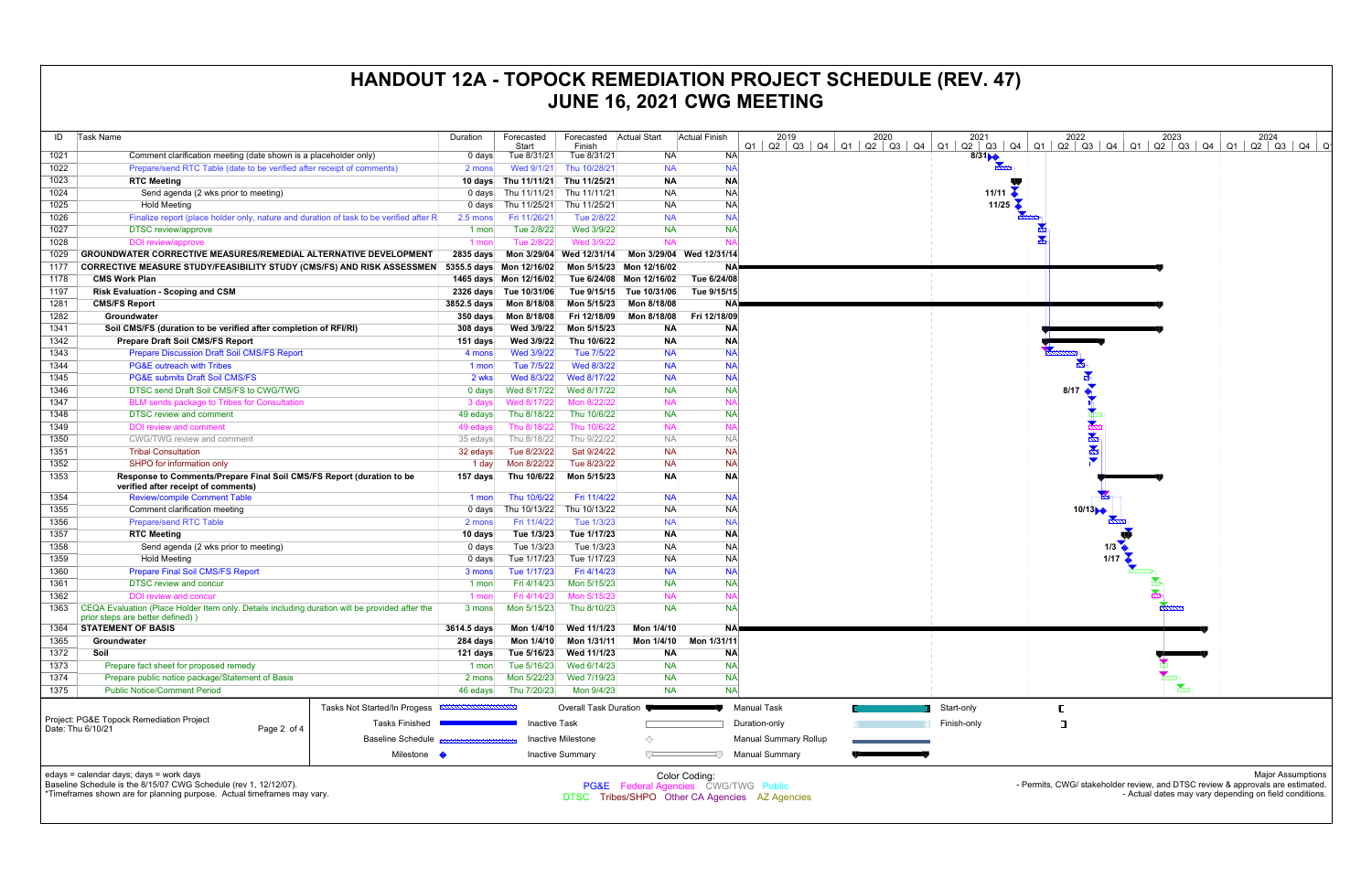| ID   | <b>Task Name</b>                                                                                                                   |                                                                    | Duration                                              | Forecasted<br>Start      | Forecasted<br>Finish     | Actual Start             | Actual Finish            | 2019<br>Q1<br>$Q2 \mid Q3 \mid$ | 2020<br>$Q4$   Q1   Q2   Q3   Q4   Q1 | 2021<br>$Q2$ $Q3$ |
|------|------------------------------------------------------------------------------------------------------------------------------------|--------------------------------------------------------------------|-------------------------------------------------------|--------------------------|--------------------------|--------------------------|--------------------------|---------------------------------|---------------------------------------|-------------------|
| 1021 | Comment clarification meeting (date shown is a placeholder only)                                                                   |                                                                    | 0 days                                                | Tue 8/31/21              | Tue 8/31/21              | <b>NA</b>                | <b>NA</b>                |                                 |                                       | 8/3               |
| 1022 | Prepare/send RTC Table (date to be verified after receipt of comments)                                                             |                                                                    | 2 mons                                                | Wed 9/1/21               | Thu 10/28/21             | <b>NA</b>                | <b>NA</b>                |                                 |                                       |                   |
| 1023 | <b>RTC Meeting</b>                                                                                                                 |                                                                    | 10 days                                               | Thu 11/11/21             | Thu 11/25/21             | <b>NA</b>                | <b>NA</b>                |                                 |                                       |                   |
| 1024 | Send agenda (2 wks prior to meeting)                                                                                               |                                                                    | $0$ days                                              | Thu 11/11/21             | Thu 11/11/21             | <b>NA</b>                | <b>NA</b>                |                                 |                                       | 11/11             |
| 1025 | <b>Hold Meeting</b>                                                                                                                |                                                                    | $0$ days                                              | Thu 11/25/21             | Thu 11/25/21             | <b>NA</b>                | <b>NA</b>                |                                 |                                       | 11/25             |
| 1026 | Finalize report (place holder only, nature and duration of task to be verified after R                                             |                                                                    | 2.5 mons                                              | Fri 11/26/21             | Tue 2/8/22               | <b>NA</b>                | <b>NA</b>                |                                 |                                       |                   |
| 1027 | <b>DTSC</b> review/approve                                                                                                         |                                                                    | 1 mon                                                 | Tue 2/8/22               | Wed 3/9/22               | <b>NA</b>                | <b>NA</b>                |                                 |                                       |                   |
| 1028 | <b>DOI</b> review/approve                                                                                                          |                                                                    | 1 mon                                                 | Tue 2/8/22               | Wed 3/9/22               | <b>NA</b>                | <b>NA</b>                |                                 |                                       |                   |
| 1029 | <b>GROUNDWATER CORRECTIVE MEASURES/REMEDIAL ALTERNATIVE DEVELOPMENT</b>                                                            |                                                                    | 2835 days                                             |                          | Mon 3/29/04 Wed 12/31/14 |                          | Mon 3/29/04 Wed 12/31/14 |                                 |                                       |                   |
| 1177 | <b>CORRECTIVE MEASURE STUDY/FEASIBILITY STUDY (CMS/FS) AND RISK ASSESSMEN</b>                                                      |                                                                    |                                                       | 5355.5 days Mon 12/16/02 |                          | Mon 5/15/23 Mon 12/16/02 | <b>NA</b>                |                                 |                                       |                   |
| 1178 | <b>CMS Work Plan</b>                                                                                                               |                                                                    |                                                       | 1465 days Mon 12/16/02   |                          | Tue 6/24/08 Mon 12/16/02 | Tue 6/24/08              |                                 |                                       |                   |
| 1197 | <b>Risk Evaluation - Scoping and CSM</b>                                                                                           |                                                                    | $2326$ days                                           | Tue 10/31/06             | Tue 9/15/15              | Tue 10/31/06             | Tue 9/15/15              |                                 |                                       |                   |
| 1281 | <b>CMS/FS Report</b>                                                                                                               |                                                                    | 3852.5 days                                           | Mon 8/18/08              | Mon 5/15/23              | Mon 8/18/08              | ΝA                       |                                 |                                       |                   |
| 1282 | Groundwater                                                                                                                        |                                                                    |                                                       |                          | Fri 12/18/09             | Mon 8/18/08              | Fri 12/18/09             |                                 |                                       |                   |
| 1341 |                                                                                                                                    |                                                                    | 350 days                                              | Mon 8/18/08              |                          |                          |                          |                                 |                                       |                   |
|      | Soil CMS/FS (duration to be verified after completion of RFI/RI)                                                                   |                                                                    | 308 days                                              | Wed 3/9/22               | Mon 5/15/23              | <b>NA</b>                | <b>NA</b>                |                                 |                                       |                   |
| 1342 | <b>Prepare Draft Soil CMS/FS Report</b>                                                                                            |                                                                    | 151 days                                              | Wed 3/9/22               | Thu 10/6/22              | <b>NA</b>                | <b>NA</b>                |                                 |                                       |                   |
| 1343 | <b>Prepare Discussion Draft Soil CMS/FS Report</b>                                                                                 |                                                                    | 4 mons                                                | Wed 3/9/22               | Tue 7/5/22               | <b>NA</b>                | <b>NA</b>                |                                 |                                       |                   |
| 1344 | <b>PG&amp;E outreach with Tribes</b>                                                                                               |                                                                    | 1 mon                                                 | Tue 7/5/22               | Wed 8/3/22               | <b>NA</b>                | <b>NA</b>                |                                 |                                       |                   |
| 1345 | <b>PG&amp;E submits Draft Soil CMS/FS</b>                                                                                          |                                                                    | 2 wks                                                 | Wed 8/3/22               | Wed 8/17/22              | <b>NA</b>                | <b>NA</b>                |                                 |                                       |                   |
| 1346 | DTSC send Draft Soil CMS/FS to CWG/TWG                                                                                             |                                                                    | 0 days                                                | Wed 8/17/22              | Wed 8/17/22              | <b>NA</b>                | <b>NA</b>                |                                 |                                       |                   |
| 1347 | <b>BLM</b> sends package to Tribes for Consultation                                                                                |                                                                    | 3 days                                                | Wed 8/17/22              | Mon 8/22/22              | <b>NA</b>                | <b>NA</b>                |                                 |                                       |                   |
| 1348 | <b>DTSC review and comment</b>                                                                                                     |                                                                    | 49 edays                                              | Thu 8/18/22              | Thu 10/6/22              | <b>NA</b>                | <b>NA</b>                |                                 |                                       |                   |
| 1349 | <b>DOI review and comment</b>                                                                                                      |                                                                    | 49 edays                                              | Thu 8/18/22              | Thu 10/6/22              | <b>NA</b>                | <b>NA</b>                |                                 |                                       |                   |
| 1350 | CWG/TWG review and comment                                                                                                         |                                                                    | 35 edays                                              | Thu 8/18/22              | Thu 9/22/22              | <b>NA</b>                | <b>NA</b>                |                                 |                                       |                   |
| 1351 | <b>Tribal Consultation</b>                                                                                                         |                                                                    | 32 edays                                              | Tue 8/23/22              | Sat 9/24/22              | <b>NA</b>                | <b>NA</b>                |                                 |                                       |                   |
| 1352 | SHPO for information only                                                                                                          |                                                                    | 1 day                                                 | Mon 8/22/22              | Tue 8/23/22              | <b>NA</b>                | <b>NA</b>                |                                 |                                       |                   |
| 1353 | Response to Comments/Prepare Final Soil CMS/FS Report (duration to be<br>verified after receipt of comments)                       |                                                                    | 157 days                                              | Thu 10/6/22              | Mon 5/15/23              | <b>NA</b>                | <b>NA</b>                |                                 |                                       |                   |
| 1354 | <b>Review/compile Comment Table</b>                                                                                                |                                                                    | 1 mon                                                 | Thu 10/6/22              | Fri 11/4/22              | <b>NA</b>                | <b>NA</b>                |                                 |                                       |                   |
| 1355 | Comment clarification meeting                                                                                                      |                                                                    | $0 \text{ days}$                                      | Thu 10/13/22             | Thu 10/13/22             | <b>NA</b>                | <b>NA</b>                |                                 |                                       |                   |
| 1356 | <b>Prepare/send RTC Table</b>                                                                                                      |                                                                    | 2 mons                                                | Fri 11/4/22              | Tue 1/3/23               | <b>NA</b>                | <b>NA</b>                |                                 |                                       |                   |
| 1357 | <b>RTC Meeting</b>                                                                                                                 |                                                                    | 10 days                                               | Tue 1/3/23               | Tue 1/17/23              | <b>NA</b>                | <b>NA</b>                |                                 |                                       |                   |
| 1358 | Send agenda (2 wks prior to meeting)                                                                                               |                                                                    | 0 days                                                | Tue 1/3/23               | Tue 1/3/23               | <b>NA</b>                | <b>NA</b>                |                                 |                                       |                   |
| 1359 | <b>Hold Meeting</b>                                                                                                                |                                                                    | 0 days                                                | Tue 1/17/23              | Tue 1/17/23              | NA                       | <b>NA</b>                |                                 |                                       |                   |
| 1360 | <b>Prepare Final Soil CMS/FS Report</b>                                                                                            |                                                                    | 3 mons                                                | Tue 1/17/23              | Fri 4/14/23              | <b>NA</b>                | <b>NA</b>                |                                 |                                       |                   |
| 1361 | <b>DTSC review and concur</b>                                                                                                      |                                                                    | 1 mon                                                 | Fri 4/14/23              | Mon 5/15/23              | <b>NA</b>                | <b>NA</b>                |                                 |                                       |                   |
| 1362 | <b>DOI</b> review and concur                                                                                                       |                                                                    | 1 mon                                                 | Fri 4/14/23              | Mon 5/15/23              | <b>NA</b>                | <b>NA</b>                |                                 |                                       |                   |
| 1363 | CEQA Evaluation (Place Holder Item only. Details including duration will be provided after the<br>prior steps are better defined)) |                                                                    | 3 mons                                                | Mon 5/15/23              | Thu 8/10/23              | <b>NA</b>                | <b>NA</b>                |                                 |                                       |                   |
| 1364 | <b>STATEMENT OF BASIS</b>                                                                                                          |                                                                    | 3614.5 days                                           |                          | Mon 1/4/10 Wed 11/1/23   | Mon 1/4/10               |                          | <b>NA</b>                       |                                       |                   |
| 1365 | Groundwater                                                                                                                        |                                                                    | 284 days                                              | Mon 1/4/10               | Mon 1/31/11              | Mon 1/4/10               | Mon 1/31/11              |                                 |                                       |                   |
| 1372 | Soil                                                                                                                               |                                                                    | 121 days                                              | Tue 5/16/23              | Wed 11/1/23              | <b>NA</b>                | ΝA                       |                                 |                                       |                   |
| 1373 | Prepare fact sheet for proposed remedy                                                                                             |                                                                    | 1 mon                                                 | Tue 5/16/23              | Wed 6/14/23              | <b>NA</b>                | <b>NA</b>                |                                 |                                       |                   |
| 1374 | Prepare public notice package/Statement of Basis                                                                                   |                                                                    | 2 mons                                                | Mon 5/22/23              | Wed 7/19/23              | <b>NA</b>                | <b>NA</b>                |                                 |                                       |                   |
| 1375 | <b>Public Notice/Comment Period</b>                                                                                                |                                                                    | 46 edays                                              | Thu 7/20/23              | Mon 9/4/23               | <b>NA</b>                | <b>NA</b>                |                                 |                                       |                   |
|      |                                                                                                                                    |                                                                    | Tasks Not Started/In Progess<br>Overall Task Duration |                          |                          |                          |                          | <b>Manual Task</b>              |                                       | Start-only        |
|      | Project: PG&E Topock Remediation Project                                                                                           | <b>Tasks Finished</b>                                              |                                                       | <b>Inactive Task</b>     |                          |                          |                          | Duration-only                   |                                       | Finish-only       |
|      | Date: Thu 6/10/21                                                                                                                  | Page 2 of 4<br><b>Baseline Schedule</b><br>Inactive Milestone<br>♦ |                                                       |                          |                          |                          | Manual Summary Rollup    |                                 |                                       |                   |
|      |                                                                                                                                    | Milestone $\blacklozenge$                                          |                                                       |                          | <b>Inactive Summary</b>  | ᅮ                        |                          | <b>Manual Summary</b>           |                                       |                   |

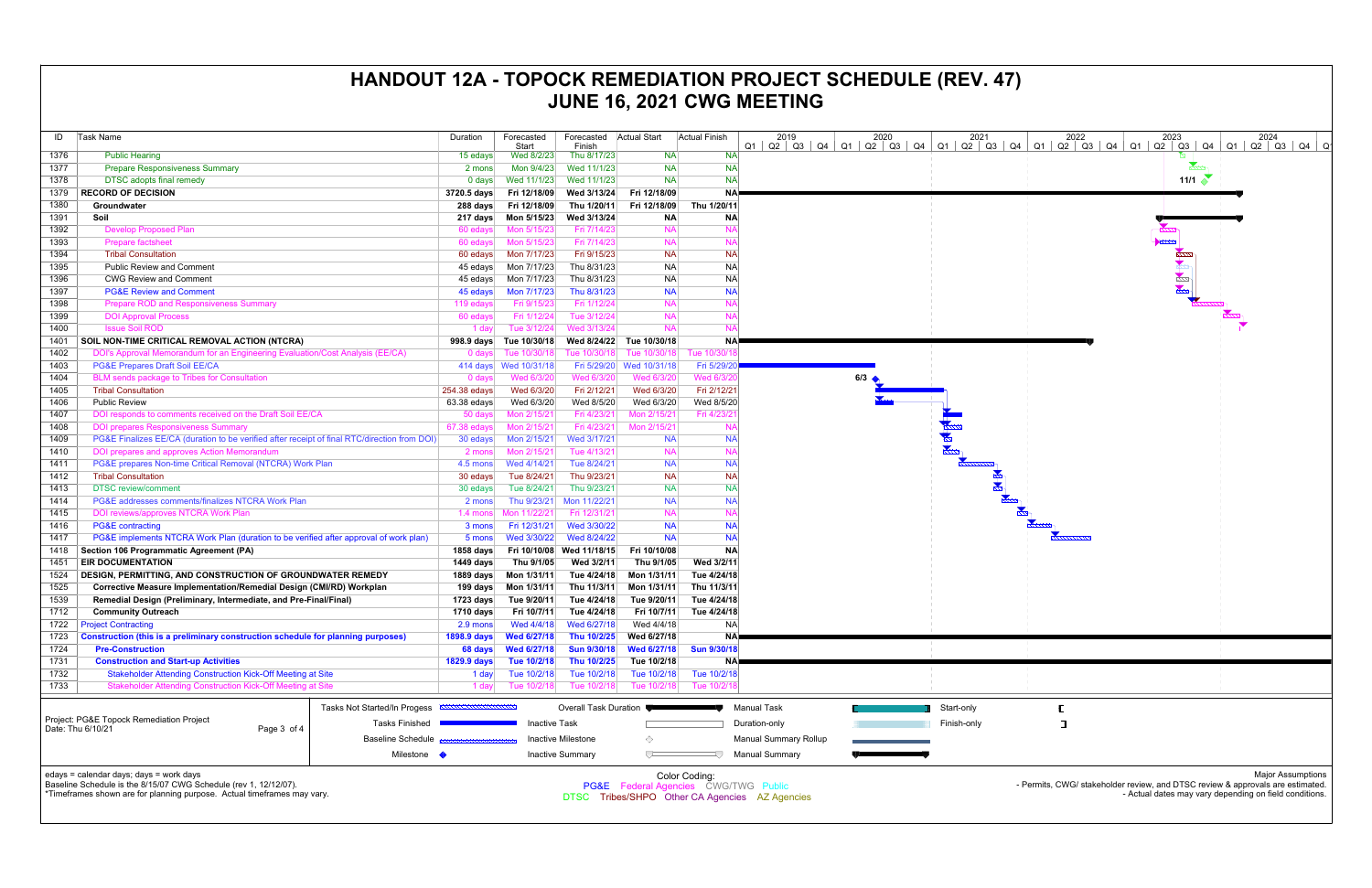| ID           | <b>Task Name</b>                                                                             |                                                              | Duration      | Forecasted             | Forecasted                | <b>Actual Start</b>    | <b>Actual Finish</b> | 2019                                                                 | 2020                | 2021               |
|--------------|----------------------------------------------------------------------------------------------|--------------------------------------------------------------|---------------|------------------------|---------------------------|------------------------|----------------------|----------------------------------------------------------------------|---------------------|--------------------|
| 1376         |                                                                                              |                                                              |               | Start                  | Finish                    |                        |                      | $Q1$   $Q2$   $Q3$   $Q4$   $Q1$   $Q2$   $Q3$   $Q4$  <br><b>NA</b> |                     | $Q1$ $Q2$ $Q3$ $ $ |
|              | <b>Public Hearing</b>                                                                        |                                                              | 15 edays      | Wed 8/2/23             | Thu 8/17/23               | <b>NA</b>              |                      |                                                                      |                     |                    |
| 1377         | <b>Prepare Responsiveness Summary</b>                                                        |                                                              | 2 mons        | Mon 9/4/23             | Wed 11/1/23               | <b>NA</b>              |                      | <b>NA</b>                                                            |                     |                    |
| 1378<br>1379 | <b>DTSC</b> adopts final remedy                                                              |                                                              | $0$ days      | Wed 11/1/23            | Wed 11/1/23               | <b>NA</b>              |                      | <b>NA</b>                                                            |                     |                    |
|              | <b>RECORD OF DECISION</b>                                                                    |                                                              | 3720.5 days   | Fri 12/18/09           | Wed 3/13/24               | Fri 12/18/09           |                      | <b>NA</b>                                                            |                     |                    |
| 1380         | Groundwater                                                                                  |                                                              | 288 days      | Fri 12/18/09           | Thu 1/20/11               | Fri 12/18/09           | Thu 1/20/11          |                                                                      |                     |                    |
| 1391         | Soil                                                                                         |                                                              | 217 days      | Mon 5/15/23            | Wed 3/13/24               | <b>NA</b><br><b>NA</b> |                      | <b>NA</b><br><b>NA</b>                                               |                     |                    |
| 1392         | <b>Develop Proposed Plan</b>                                                                 |                                                              | 60 edays      | Mon 5/15/23            | Fri 7/14/23               |                        |                      |                                                                      |                     |                    |
| 1393         | <b>Prepare factsheet</b>                                                                     |                                                              | 60 edays      | Mon 5/15/23            | Fri 7/14/23               | <b>NA</b>              |                      | <b>NA</b>                                                            |                     |                    |
| 1394         | <b>Tribal Consultation</b>                                                                   |                                                              | 60 edays      | Mon 7/17/23            | Fri 9/15/23               | <b>NA</b>              |                      | <b>NA</b>                                                            |                     |                    |
| 1395         | <b>Public Review and Comment</b>                                                             |                                                              | 45 edays      | Mon 7/17/23            | Thu 8/31/23               | <b>NA</b>              |                      | <b>NA</b>                                                            |                     |                    |
| 1396         | <b>CWG Review and Comment</b>                                                                |                                                              | 45 edays      | Mon 7/17/23            | Thu 8/31/23               | <b>NA</b>              |                      | <b>NA</b>                                                            |                     |                    |
| 1397         | <b>PG&amp;E Review and Comment</b>                                                           |                                                              | 45 edays      | Mon 7/17/23            | Thu 8/31/23               | <b>NA</b>              |                      | <b>NA</b>                                                            |                     |                    |
| 1398         | <b>Prepare ROD and Responsiveness Summary</b>                                                |                                                              | 119 edays     | Fri 9/15/23            | Fri 1/12/24               | <b>NA</b>              |                      | <b>NA</b>                                                            |                     |                    |
| 1399         | <b>DOI Approval Process</b>                                                                  |                                                              | 60 edays      | Fri 1/12/24            | Tue 3/12/24               | <b>NA</b>              |                      | <b>NA</b>                                                            |                     |                    |
| 1400         | <b>Issue Soil ROD</b>                                                                        |                                                              | 1 day         | Tue 3/12/24            | Wed 3/13/24               | <b>NA</b>              |                      | <b>NA</b>                                                            |                     |                    |
| 1401         | SOIL NON-TIME CRITICAL REMOVAL ACTION (NTCRA)                                                |                                                              | 998.9 days    | Tue 10/30/18           | Wed 8/24/22               | Tue 10/30/18           |                      | <b>NA</b>                                                            |                     |                    |
| 1402         | DOI's Approval Memorandum for an Engineering Evaluation/Cost Analysis (EE/CA)                |                                                              | $0$ days      | Tue 10/30/18           | Tue 10/30/18              | Tue 10/30/18           | Tue 10/30/1          |                                                                      |                     |                    |
| 1403         | <b>PG&amp;E Prepares Draft Soil EE/CA</b>                                                    |                                                              |               | 414 days  Wed 10/31/18 | Fri 5/29/20               | Wed 10/31/18           | Fri 5/29/20          |                                                                      |                     |                    |
| 1404         | <b>BLM</b> sends package to Tribes for Consultation                                          |                                                              | 0 days        | Wed 6/3/20             | Wed 6/3/20                | Wed 6/3/20             | Wed 6/3/20           |                                                                      | $6/3$ $\rightarrow$ |                    |
| 1405         | <b>Tribal Consultation</b>                                                                   |                                                              | 254.38 edays  | Wed 6/3/20             | Fri 2/12/21               | Wed 6/3/20             | Fri 2/12/21          |                                                                      |                     |                    |
| 1406         | <b>Public Review</b>                                                                         |                                                              | $63.38$ edays | Wed 6/3/20             | Wed 8/5/20                | Wed 6/3/20             | Wed 8/5/20           |                                                                      |                     |                    |
| 1407         | DOI responds to comments received on the Draft Soil EE/CA                                    |                                                              | 50 days       | Mon 2/15/21            | Fri 4/23/21               | Mon 2/15/21            | Fri 4/23/2           |                                                                      |                     |                    |
| 1408         | <b>DOI prepares Responsiveness Summary</b>                                                   |                                                              | 67.38 edays   | Mon 2/15/21            | Fri 4/23/21               | Mon 2/15/21            |                      | <b>NA</b>                                                            |                     |                    |
| 1409         | PG&E Finalizes EE/CA (duration to be verified after receipt of final RTC/direction from DOI) |                                                              | 30 edays      | Mon 2/15/21            | Wed 3/17/21               | <b>NA</b>              |                      | <b>NA</b>                                                            |                     |                    |
| 1410         | DOI prepares and approves Action Memorandum                                                  |                                                              | 2 mons        | Mon 2/15/21            | Tue 4/13/21               | <b>NA</b>              |                      | <b>NA</b>                                                            |                     |                    |
| 1411         | PG&E prepares Non-time Critical Removal (NTCRA) Work Plan                                    |                                                              | 4.5 mons      | Wed 4/14/21            | Tue 8/24/21               | <b>NA</b>              |                      | <b>NA</b>                                                            |                     |                    |
| 1412         | <b>Tribal Consultation</b>                                                                   |                                                              | 30 edays      | Tue 8/24/21            | Thu 9/23/21               | <b>NA</b>              |                      | <b>NA</b>                                                            |                     | $\frac{1}{2}$      |
| 1413         | <b>DTSC</b> review/comment                                                                   |                                                              | 30 edays      | Tue 8/24/21            | Thu 9/23/21               | <b>NA</b>              |                      | <b>NA</b>                                                            |                     |                    |
| 1414         | PG&E addresses comments/finalizes NTCRA Work Plan                                            |                                                              | 2 mons        | Thu 9/23/21            | Mon 11/22/21              | <b>NA</b>              |                      | <b>NA</b>                                                            |                     |                    |
| 1415         | <b>DOI reviews/approves NTCRA Work Plan</b>                                                  |                                                              | 1.4 mons      | Mon 11/22/21           | Fri 12/31/21              | <b>NA</b>              |                      | <b>NA</b>                                                            |                     |                    |
| 1416         | <b>PG&amp;E</b> contracting                                                                  |                                                              | 3 mons        | Fri 12/31/21           | Wed 3/30/22               | <b>NA</b>              |                      | <b>NA</b>                                                            |                     |                    |
| 1417         | PG&E implements NTCRA Work Plan (duration to be verified after approval of work plan)        |                                                              | 5 mons        | Wed 3/30/22            | Wed 8/24/22               | <b>NA</b>              |                      | <b>NA</b>                                                            |                     |                    |
| 1418         | Section 106 Programmatic Agreement (PA)                                                      |                                                              | 1858 days     | Fri 10/10/08           | Wed 11/18/15              | Fri 10/10/08           |                      | <b>NA</b>                                                            |                     |                    |
| 1451         | <b>EIR DOCUMENTATION</b>                                                                     |                                                              | 1449 days     | Thu 9/1/05             | Wed 3/2/11                | Thu 9/1/05             | Wed 3/2/11           |                                                                      |                     |                    |
| 1524         | <b>DESIGN, PERMITTING, AND CONSTRUCTION OF GROUNDWATER REMEDY</b>                            |                                                              | 1889 days     | Mon 1/31/11            | Tue 4/24/18               | Mon 1/31/11            | Tue 4/24/18          |                                                                      |                     |                    |
| 1525         | Corrective Measure Implementation/Remedial Design (CMI/RD) Workplan                          |                                                              | 199 days      | Mon 1/31/11            | Thu 11/3/11               | Mon 1/31/11            | Thu 11/3/11          |                                                                      |                     |                    |
| 1539         | Remedial Design (Preliminary, Intermediate, and Pre-Final/Final)                             |                                                              | 1723 days     | Tue 9/20/11            | Tue 4/24/18               | Tue 9/20/11            | Tue 4/24/18          |                                                                      |                     |                    |
| 1712         | <b>Community Outreach</b>                                                                    |                                                              | 1710 days     | Fri 10/7/11            | Tue 4/24/18               | Fri 10/7/11            | Tue 4/24/18          |                                                                      |                     |                    |
| 1722         | <b>Project Contracting</b>                                                                   |                                                              | 2.9 mons      | Wed 4/4/18             | Wed 6/27/18               | Wed 4/4/18             |                      | <b>NA</b>                                                            |                     |                    |
| 1723         | Construction (this is a preliminary construction schedule for planning purposes)             |                                                              | 1898.9 days   | <b>Wed 6/27/18</b>     | Thu 10/2/25               | Wed 6/27/18            |                      | NA)                                                                  |                     |                    |
| 1724         | <b>Pre-Construction</b>                                                                      |                                                              | 68 days       | Wed 6/27/18            | <b>Sun 9/30/18</b>        | Wed 6/27/18            | <b>Sun 9/30/18</b>   |                                                                      |                     |                    |
| 1731         | <b>Construction and Start-up Activities</b>                                                  |                                                              | 1829.9 days   | Tue 10/2/18            | Thu 10/2/25               | Tue 10/2/18            |                      | <b>NA</b>                                                            |                     |                    |
| 1732         | <b>Stakeholder Attending Construction Kick-Off Meeting at Site</b>                           |                                                              | 1 day         | Tue 10/2/18            | Tue 10/2/18               | Tue 10/2/18            | Tue 10/2/18          |                                                                      |                     |                    |
| 1733         | Stakeholder Attending Construction Kick-Off Meeting at Site                                  |                                                              | 1 day         | Tue 10/2/18            | Tue 10/2/18               | Tue 10/2/18            | Tue 10/2/18          |                                                                      |                     |                    |
|              |                                                                                              |                                                              |               |                        |                           |                        |                      |                                                                      |                     |                    |
|              |                                                                                              | Tasks Not Started/In Progess <b>ANALLA AND ACCORDINATION</b> |               |                        | Overall Task Duration     |                        |                      | <b>Manual Task</b>                                                   |                     | Start-only         |
|              | Project: PG&E Topock Remediation Project<br>Date: Thu 6/10/21<br>Page 3 of 4                 | <b>Tasks Finished</b>                                        |               | <b>Inactive Task</b>   |                           |                        |                      | Duration-only                                                        |                     | Finish-only        |
|              |                                                                                              | <b>Baseline Schedule</b>                                     |               |                        | <b>Inactive Milestone</b> | ◇                      |                      | <b>Manual Summary Rollup</b>                                         |                     |                    |
|              |                                                                                              | Milestone $\blacklozenge$                                    |               |                        | <b>Inactive Summary</b>   | ᅮ                      | ЦJ                   | <b>Manual Summary</b>                                                |                     |                    |
|              |                                                                                              |                                                              |               |                        |                           |                        |                      |                                                                      |                     |                    |
|              | edays = calendar days; days = work days                                                      |                                                              |               |                        |                           |                        | Color Coding:        |                                                                      |                     |                    |
|              | Baseline Schedule is the 8/15/07 CWG Schedule (rev 1, 12/12/07).                             |                                                              |               |                        |                           |                        |                      | PG&E Federal Agencies CWG/TWG Public                                 |                     |                    |
|              | *Timeframes shown are for planning purpose. Actual timeframes may vary.                      |                                                              |               |                        |                           |                        |                      | DTSC Tribes/SHPO Other CA Agencies AZ Agencies                       |                     |                    |